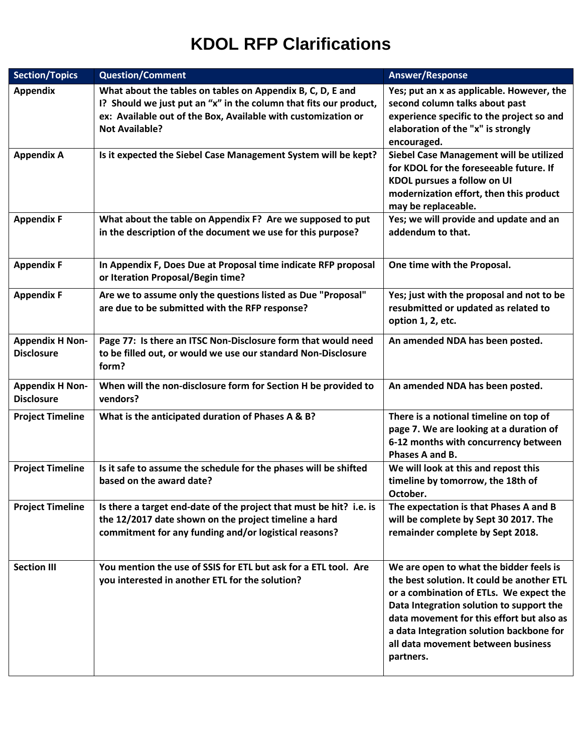| <b>Section/Topics</b>                       | <b>Question/Comment</b>                                                                                                                                                                                                   | Answer/Response                                                                                                                                                                                                                                                                                                          |
|---------------------------------------------|---------------------------------------------------------------------------------------------------------------------------------------------------------------------------------------------------------------------------|--------------------------------------------------------------------------------------------------------------------------------------------------------------------------------------------------------------------------------------------------------------------------------------------------------------------------|
| <b>Appendix</b>                             | What about the tables on tables on Appendix B, C, D, E and<br>I? Should we just put an "x" in the column that fits our product,<br>ex: Available out of the Box, Available with customization or<br><b>Not Available?</b> | Yes; put an x as applicable. However, the<br>second column talks about past<br>experience specific to the project so and<br>elaboration of the "x" is strongly<br>encouraged.                                                                                                                                            |
| <b>Appendix A</b>                           | Is it expected the Siebel Case Management System will be kept?                                                                                                                                                            | Siebel Case Management will be utilized<br>for KDOL for the foreseeable future. If<br>KDOL pursues a follow on UI<br>modernization effort, then this product<br>may be replaceable.                                                                                                                                      |
| <b>Appendix F</b>                           | What about the table on Appendix F? Are we supposed to put<br>in the description of the document we use for this purpose?                                                                                                 | Yes; we will provide and update and an<br>addendum to that.                                                                                                                                                                                                                                                              |
| <b>Appendix F</b>                           | In Appendix F, Does Due at Proposal time indicate RFP proposal<br>or Iteration Proposal/Begin time?                                                                                                                       | One time with the Proposal.                                                                                                                                                                                                                                                                                              |
| <b>Appendix F</b>                           | Are we to assume only the questions listed as Due "Proposal"<br>are due to be submitted with the RFP response?                                                                                                            | Yes; just with the proposal and not to be<br>resubmitted or updated as related to<br>option 1, 2, etc.                                                                                                                                                                                                                   |
| <b>Appendix H Non-</b><br><b>Disclosure</b> | Page 77: Is there an ITSC Non-Disclosure form that would need<br>to be filled out, or would we use our standard Non-Disclosure<br>form?                                                                                   | An amended NDA has been posted.                                                                                                                                                                                                                                                                                          |
| <b>Appendix H Non-</b><br><b>Disclosure</b> | When will the non-disclosure form for Section H be provided to<br>vendors?                                                                                                                                                | An amended NDA has been posted.                                                                                                                                                                                                                                                                                          |
| <b>Project Timeline</b>                     | What is the anticipated duration of Phases A & B?                                                                                                                                                                         | There is a notional timeline on top of<br>page 7. We are looking at a duration of<br>6-12 months with concurrency between<br>Phases A and B.                                                                                                                                                                             |
| <b>Project Timeline</b>                     | Is it safe to assume the schedule for the phases will be shifted<br>based on the award date?                                                                                                                              | We will look at this and repost this<br>timeline by tomorrow, the 18th of<br>October.                                                                                                                                                                                                                                    |
| <b>Project Timeline</b>                     | Is there a target end-date of the project that must be hit? i.e. is<br>the 12/2017 date shown on the project timeline a hard<br>commitment for any funding and/or logistical reasons?                                     | The expectation is that Phases A and B<br>will be complete by Sept 30 2017. The<br>remainder complete by Sept 2018.                                                                                                                                                                                                      |
| <b>Section III</b>                          | You mention the use of SSIS for ETL but ask for a ETL tool. Are<br>you interested in another ETL for the solution?                                                                                                        | We are open to what the bidder feels is<br>the best solution. It could be another ETL<br>or a combination of ETLs. We expect the<br>Data Integration solution to support the<br>data movement for this effort but also as<br>a data Integration solution backbone for<br>all data movement between business<br>partners. |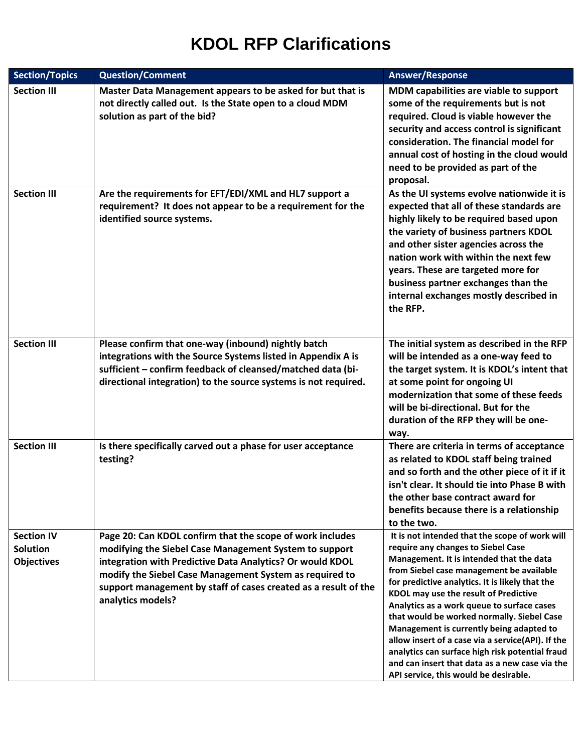| <b>Section/Topics</b>                                     | <b>Question/Comment</b>                                                                                                                                                                                                                                                                                                             | <b>Answer/Response</b>                                                                                                                                                                                                                                                                                                                                                                                                                                                                                                                                                                                              |
|-----------------------------------------------------------|-------------------------------------------------------------------------------------------------------------------------------------------------------------------------------------------------------------------------------------------------------------------------------------------------------------------------------------|---------------------------------------------------------------------------------------------------------------------------------------------------------------------------------------------------------------------------------------------------------------------------------------------------------------------------------------------------------------------------------------------------------------------------------------------------------------------------------------------------------------------------------------------------------------------------------------------------------------------|
| <b>Section III</b>                                        | Master Data Management appears to be asked for but that is<br>not directly called out. Is the State open to a cloud MDM<br>solution as part of the bid?                                                                                                                                                                             | MDM capabilities are viable to support<br>some of the requirements but is not<br>required. Cloud is viable however the<br>security and access control is significant<br>consideration. The financial model for<br>annual cost of hosting in the cloud would<br>need to be provided as part of the<br>proposal.                                                                                                                                                                                                                                                                                                      |
| <b>Section III</b>                                        | Are the requirements for EFT/EDI/XML and HL7 support a<br>requirement? It does not appear to be a requirement for the<br>identified source systems.                                                                                                                                                                                 | As the UI systems evolve nationwide it is<br>expected that all of these standards are<br>highly likely to be required based upon<br>the variety of business partners KDOL<br>and other sister agencies across the<br>nation work with within the next few<br>years. These are targeted more for<br>business partner exchanges than the<br>internal exchanges mostly described in<br>the RFP.                                                                                                                                                                                                                        |
| <b>Section III</b>                                        | Please confirm that one-way (inbound) nightly batch<br>integrations with the Source Systems listed in Appendix A is<br>sufficient - confirm feedback of cleansed/matched data (bi-<br>directional integration) to the source systems is not required.                                                                               | The initial system as described in the RFP<br>will be intended as a one-way feed to<br>the target system. It is KDOL's intent that<br>at some point for ongoing UI<br>modernization that some of these feeds<br>will be bi-directional. But for the<br>duration of the RFP they will be one-<br>way.                                                                                                                                                                                                                                                                                                                |
| <b>Section III</b>                                        | Is there specifically carved out a phase for user acceptance<br>testing?                                                                                                                                                                                                                                                            | There are criteria in terms of acceptance<br>as related to KDOL staff being trained<br>and so forth and the other piece of it if it<br>isn't clear. It should tie into Phase B with<br>the other base contract award for<br>benefits because there is a relationship<br>to the two.                                                                                                                                                                                                                                                                                                                                 |
| <b>Section IV</b><br><b>Solution</b><br><b>Objectives</b> | Page 20: Can KDOL confirm that the scope of work includes<br>modifying the Siebel Case Management System to support<br>integration with Predictive Data Analytics? Or would KDOL<br>modify the Siebel Case Management System as required to<br>support management by staff of cases created as a result of the<br>analytics models? | It is not intended that the scope of work will<br>require any changes to Siebel Case<br>Management. It is intended that the data<br>from Siebel case management be available<br>for predictive analytics. It is likely that the<br>KDOL may use the result of Predictive<br>Analytics as a work queue to surface cases<br>that would be worked normally. Siebel Case<br>Management is currently being adapted to<br>allow insert of a case via a service(API). If the<br>analytics can surface high risk potential fraud<br>and can insert that data as a new case via the<br>API service, this would be desirable. |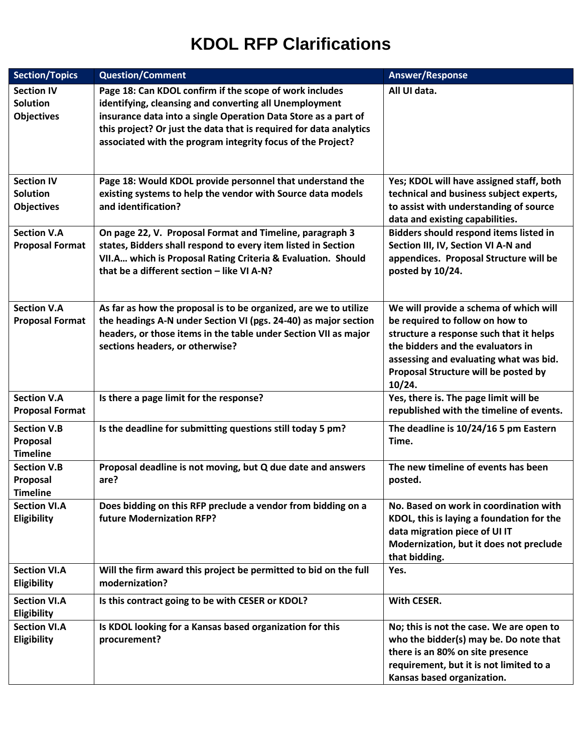| <b>Section/Topics</b>                                     | <b>Question/Comment</b>                                                                                                                                                                                                                                                                                                  | <b>Answer/Response</b>                                                                                                                                                                                                                                |
|-----------------------------------------------------------|--------------------------------------------------------------------------------------------------------------------------------------------------------------------------------------------------------------------------------------------------------------------------------------------------------------------------|-------------------------------------------------------------------------------------------------------------------------------------------------------------------------------------------------------------------------------------------------------|
| <b>Section IV</b><br><b>Solution</b><br><b>Objectives</b> | Page 18: Can KDOL confirm if the scope of work includes<br>identifying, cleansing and converting all Unemployment<br>insurance data into a single Operation Data Store as a part of<br>this project? Or just the data that is required for data analytics<br>associated with the program integrity focus of the Project? | All UI data.                                                                                                                                                                                                                                          |
| <b>Section IV</b><br><b>Solution</b><br><b>Objectives</b> | Page 18: Would KDOL provide personnel that understand the<br>existing systems to help the vendor with Source data models<br>and identification?                                                                                                                                                                          | Yes; KDOL will have assigned staff, both<br>technical and business subject experts,<br>to assist with understanding of source<br>data and existing capabilities.                                                                                      |
| <b>Section V.A</b><br><b>Proposal Format</b>              | On page 22, V. Proposal Format and Timeline, paragraph 3<br>states, Bidders shall respond to every item listed in Section<br>VII.A which is Proposal Rating Criteria & Evaluation. Should<br>that be a different section - like VI A-N?                                                                                  | Bidders should respond items listed in<br>Section III, IV, Section VI A-N and<br>appendices. Proposal Structure will be<br>posted by 10/24.                                                                                                           |
| <b>Section V.A</b><br><b>Proposal Format</b>              | As far as how the proposal is to be organized, are we to utilize<br>the headings A-N under Section VI (pgs. 24-40) as major section<br>headers, or those items in the table under Section VII as major<br>sections headers, or otherwise?                                                                                | We will provide a schema of which will<br>be required to follow on how to<br>structure a response such that it helps<br>the bidders and the evaluators in<br>assessing and evaluating what was bid.<br>Proposal Structure will be posted by<br>10/24. |
| <b>Section V.A</b><br><b>Proposal Format</b>              | Is there a page limit for the response?                                                                                                                                                                                                                                                                                  | Yes, there is. The page limit will be<br>republished with the timeline of events.                                                                                                                                                                     |
| <b>Section V.B</b><br>Proposal<br><b>Timeline</b>         | Is the deadline for submitting questions still today 5 pm?                                                                                                                                                                                                                                                               | The deadline is 10/24/16 5 pm Eastern<br>Time.                                                                                                                                                                                                        |
| <b>Section V.B</b><br>Proposal<br><b>Timeline</b>         | Proposal deadline is not moving, but Q due date and answers<br>are?                                                                                                                                                                                                                                                      | The new timeline of events has been<br>posted.                                                                                                                                                                                                        |
| <b>Section VI.A</b><br>Eligibility                        | Does bidding on this RFP preclude a vendor from bidding on a<br>future Modernization RFP?                                                                                                                                                                                                                                | No. Based on work in coordination with<br>KDOL, this is laying a foundation for the<br>data migration piece of UI IT<br>Modernization, but it does not preclude<br>that bidding.                                                                      |
| <b>Section VI.A</b><br>Eligibility                        | Will the firm award this project be permitted to bid on the full<br>modernization?                                                                                                                                                                                                                                       | Yes.                                                                                                                                                                                                                                                  |
| <b>Section VI.A</b><br>Eligibility                        | Is this contract going to be with CESER or KDOL?                                                                                                                                                                                                                                                                         | <b>With CESER.</b>                                                                                                                                                                                                                                    |
| <b>Section VI.A</b><br>Eligibility                        | Is KDOL looking for a Kansas based organization for this<br>procurement?                                                                                                                                                                                                                                                 | No; this is not the case. We are open to<br>who the bidder(s) may be. Do note that<br>there is an 80% on site presence<br>requirement, but it is not limited to a<br>Kansas based organization.                                                       |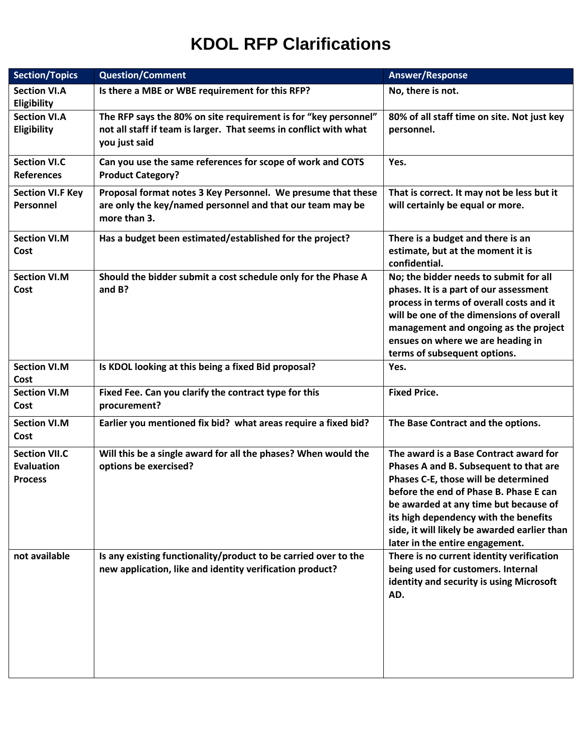| <b>Section/Topics</b>                                       | <b>Question/Comment</b>                                                                                                                               | <b>Answer/Response</b>                                                                                                                                                                                                                                                                                                                  |
|-------------------------------------------------------------|-------------------------------------------------------------------------------------------------------------------------------------------------------|-----------------------------------------------------------------------------------------------------------------------------------------------------------------------------------------------------------------------------------------------------------------------------------------------------------------------------------------|
| <b>Section VI.A</b><br>Eligibility                          | Is there a MBE or WBE requirement for this RFP?                                                                                                       | No, there is not.                                                                                                                                                                                                                                                                                                                       |
| <b>Section VI.A</b><br>Eligibility                          | The RFP says the 80% on site requirement is for "key personnel"<br>not all staff if team is larger. That seems in conflict with what<br>you just said | 80% of all staff time on site. Not just key<br>personnel.                                                                                                                                                                                                                                                                               |
| <b>Section VI.C</b><br><b>References</b>                    | Can you use the same references for scope of work and COTS<br><b>Product Category?</b>                                                                | Yes.                                                                                                                                                                                                                                                                                                                                    |
| <b>Section VI.F Key</b><br>Personnel                        | Proposal format notes 3 Key Personnel. We presume that these<br>are only the key/named personnel and that our team may be<br>more than 3.             | That is correct. It may not be less but it<br>will certainly be equal or more.                                                                                                                                                                                                                                                          |
| <b>Section VI.M</b><br>Cost                                 | Has a budget been estimated/established for the project?                                                                                              | There is a budget and there is an<br>estimate, but at the moment it is<br>confidential.                                                                                                                                                                                                                                                 |
| <b>Section VI.M</b><br>Cost                                 | Should the bidder submit a cost schedule only for the Phase A<br>and $B$ ?                                                                            | No; the bidder needs to submit for all<br>phases. It is a part of our assessment<br>process in terms of overall costs and it<br>will be one of the dimensions of overall<br>management and ongoing as the project<br>ensues on where we are heading in<br>terms of subsequent options.                                                  |
| <b>Section VI.M</b><br>Cost                                 | Is KDOL looking at this being a fixed Bid proposal?                                                                                                   | Yes.                                                                                                                                                                                                                                                                                                                                    |
| <b>Section VI.M</b><br>Cost                                 | Fixed Fee. Can you clarify the contract type for this<br>procurement?                                                                                 | <b>Fixed Price.</b>                                                                                                                                                                                                                                                                                                                     |
| <b>Section VI.M</b><br>Cost                                 | Earlier you mentioned fix bid? what areas require a fixed bid?                                                                                        | The Base Contract and the options.                                                                                                                                                                                                                                                                                                      |
| <b>Section VII.C</b><br><b>Evaluation</b><br><b>Process</b> | Will this be a single award for all the phases? When would the<br>options be exercised?                                                               | The award is a Base Contract award for<br>Phases A and B. Subsequent to that are<br>Phases C-E, those will be determined<br>before the end of Phase B. Phase E can<br>be awarded at any time but because of<br>its high dependency with the benefits<br>side, it will likely be awarded earlier than<br>later in the entire engagement. |
| not available                                               | Is any existing functionality/product to be carried over to the<br>new application, like and identity verification product?                           | There is no current identity verification<br>being used for customers. Internal<br>identity and security is using Microsoft<br>AD.                                                                                                                                                                                                      |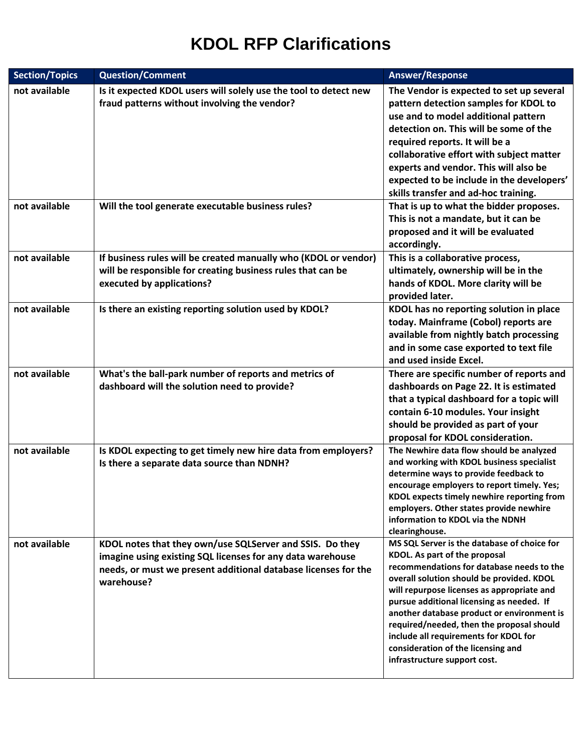| <b>Section/Topics</b> | <b>Question/Comment</b>                                                                                                                                                                                | <b>Answer/Response</b>                                                                                                                                                                                                                                                                                                                                                                                                                                                      |
|-----------------------|--------------------------------------------------------------------------------------------------------------------------------------------------------------------------------------------------------|-----------------------------------------------------------------------------------------------------------------------------------------------------------------------------------------------------------------------------------------------------------------------------------------------------------------------------------------------------------------------------------------------------------------------------------------------------------------------------|
| not available         | Is it expected KDOL users will solely use the tool to detect new<br>fraud patterns without involving the vendor?                                                                                       | The Vendor is expected to set up several<br>pattern detection samples for KDOL to<br>use and to model additional pattern<br>detection on. This will be some of the<br>required reports. It will be a<br>collaborative effort with subject matter<br>experts and vendor. This will also be<br>expected to be include in the developers'<br>skills transfer and ad-hoc training.                                                                                              |
| not available         | Will the tool generate executable business rules?                                                                                                                                                      | That is up to what the bidder proposes.<br>This is not a mandate, but it can be<br>proposed and it will be evaluated<br>accordingly.                                                                                                                                                                                                                                                                                                                                        |
| not available         | If business rules will be created manually who (KDOL or vendor)<br>will be responsible for creating business rules that can be<br>executed by applications?                                            | This is a collaborative process,<br>ultimately, ownership will be in the<br>hands of KDOL. More clarity will be<br>provided later.                                                                                                                                                                                                                                                                                                                                          |
| not available         | Is there an existing reporting solution used by KDOL?                                                                                                                                                  | KDOL has no reporting solution in place<br>today. Mainframe (Cobol) reports are<br>available from nightly batch processing<br>and in some case exported to text file<br>and used inside Excel.                                                                                                                                                                                                                                                                              |
| not available         | What's the ball-park number of reports and metrics of<br>dashboard will the solution need to provide?                                                                                                  | There are specific number of reports and<br>dashboards on Page 22. It is estimated<br>that a typical dashboard for a topic will<br>contain 6-10 modules. Your insight<br>should be provided as part of your<br>proposal for KDOL consideration.                                                                                                                                                                                                                             |
| not available         | Is KDOL expecting to get timely new hire data from employers?<br>Is there a separate data source than NDNH?                                                                                            | The Newhire data flow should be analyzed<br>and working with KDOL business specialist<br>determine ways to provide feedback to<br>encourage employers to report timely. Yes;<br>KDOL expects timely newhire reporting from<br>employers. Other states provide newhire<br>information to KDOL via the NDNH<br>clearinghouse.                                                                                                                                                 |
| not available         | KDOL notes that they own/use SQLServer and SSIS. Do they<br>imagine using existing SQL licenses for any data warehouse<br>needs, or must we present additional database licenses for the<br>warehouse? | MS SQL Server is the database of choice for<br>KDOL. As part of the proposal<br>recommendations for database needs to the<br>overall solution should be provided. KDOL<br>will repurpose licenses as appropriate and<br>pursue additional licensing as needed. If<br>another database product or environment is<br>required/needed, then the proposal should<br>include all requirements for KDOL for<br>consideration of the licensing and<br>infrastructure support cost. |